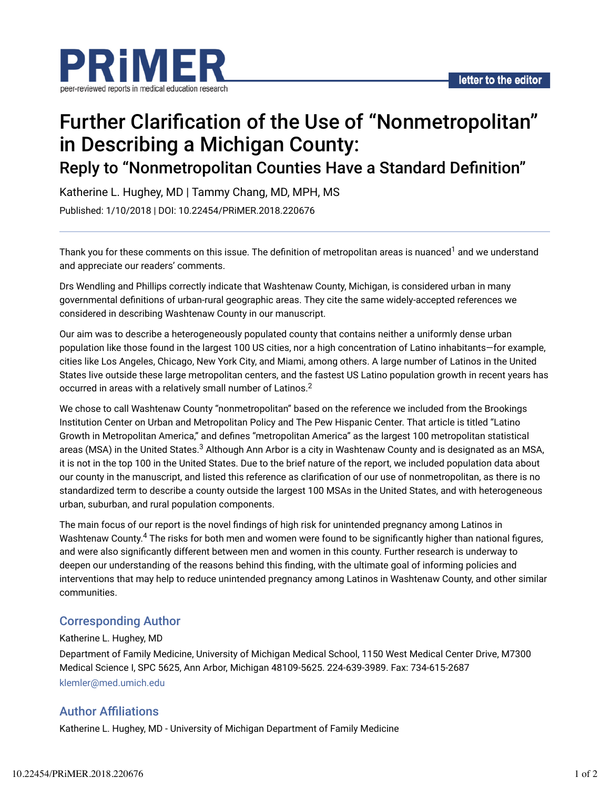

# Further Clarification of the Use of "Nonmetropolitan" in Describing a Michigan County:

Reply to "Nonmetropolitan Counties Have a Standard Definition"

Katherine L. Hughey, MD | Tammy Chang, MD, MPH, MS Published: 1/10/2018 | DOI: 10.22454/PRiMER.2018.220676

Thank you for these comments on this issue. The definition of metropolitan areas is nuanced<sup>1</sup> and we understand and appreciate our readers' comments.

Drs Wendling and Phillips correctly indicate that Washtenaw County, Michigan, is considered urban in many governmental definitions of urban-rural geographic areas. They cite the same widely-accepted references we considered in describing Washtenaw County in our manuscript.

Our aim was to describe a heterogeneously populated county that contains neither a uniformly dense urban population like those found in the largest 100 US cities, nor a high concentration of Latino inhabitants—for example, cities like Los Angeles, Chicago, New York City, and Miami, among others. A large number of Latinos in the United States live outside these large metropolitan centers, and the fastest US Latino population growth in recent years has occurred in areas with a relatively small number of Latinos. $^2$ 

We chose to call Washtenaw County "nonmetropolitan" based on the reference we included from the Brookings Institution Center on Urban and Metropolitan Policy and The Pew Hispanic Center. That article is titled "Latino Growth in Metropolitan America," and defines "metropolitan America" as the largest 100 metropolitan statistical areas (MSA) in the United States.<sup>3</sup> Although Ann Arbor is a city in Washtenaw County and is designated as an MSA, it is not in the top 100 in the United States. Due to the brief nature of the report, we included population data about our county in the manuscript, and listed this reference as clarification of our use of nonmetropolitan, as there is no standardized term to describe a county outside the largest 100 MSAs in the United States, and with heterogeneous urban, suburban, and rural population components.

The main focus of our report is the novel findings of high risk for unintended pregnancy among Latinos in Washtenaw County. $^4$  The risks for both men and women were found to be significantly higher than national figures, and were also significantly different between men and women in this county. Further research is underway to deepen our understanding of the reasons behind this finding, with the ultimate goal of informing policies and interventions that may help to reduce unintended pregnancy among Latinos in Washtenaw County, and other similar communities.

## Corresponding Author

### Katherine L. Hughey, MD

Department of Family Medicine, University of Michigan Medical School, 1150 West Medical Center Drive, M7300 Medical Science I, SPC 5625, Ann Arbor, Michigan 48109-5625. 224-639-3989. Fax: 734-615-2687 klemler@med.umich.edu

## **Author Affiliations**

Katherine L. Hughey, MD - University of Michigan Department of Family Medicine